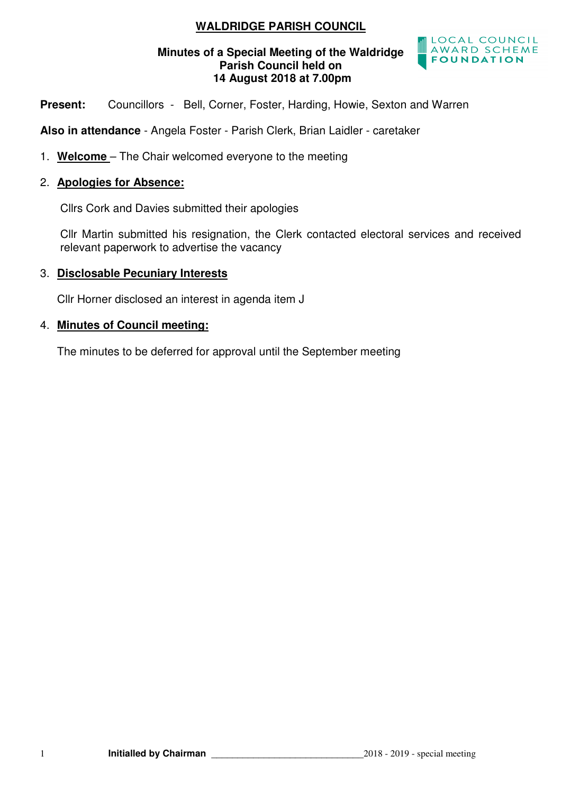# **WALDRIDGE PARISH COUNCIL**

#### **Minutes of a Special Meeting of the Waldridge Parish Council held on 14 August 2018 at 7.00pm**



Present: Councillors - Bell, Corner, Foster, Harding, Howie, Sexton and Warren

**Also in attendance** - Angela Foster - Parish Clerk, Brian Laidler - caretaker

1. **Welcome** – The Chair welcomed everyone to the meeting

#### 2. **Apologies for Absence:**

Cllrs Cork and Davies submitted their apologies

 Cllr Martin submitted his resignation, the Clerk contacted electoral services and received relevant paperwork to advertise the vacancy

#### 3. **Disclosable Pecuniary Interests**

Cllr Horner disclosed an interest in agenda item J

#### 4. **Minutes of Council meeting:**

The minutes to be deferred for approval until the September meeting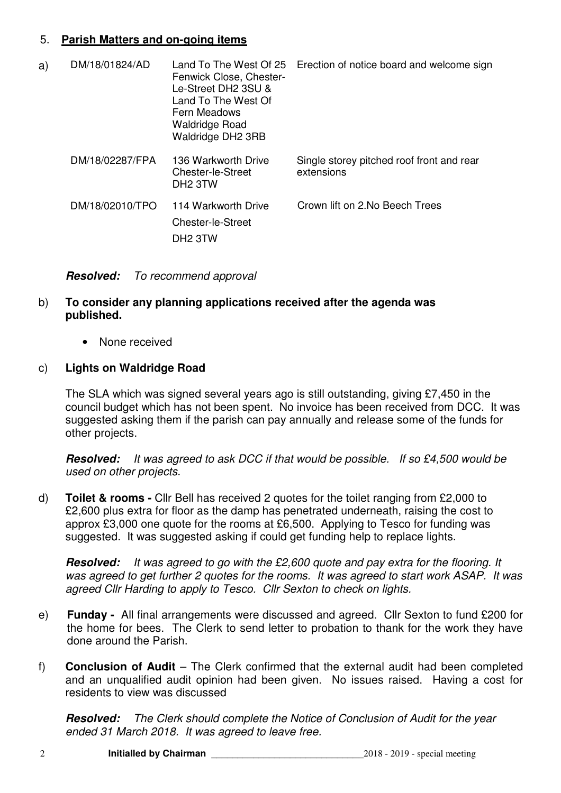## 5. **Parish Matters and on-going items**

| a) | DM/18/01824/AD  | Land To The West Of 25<br>Fenwick Close, Chester-<br>Le-Street DH2 3SU &<br>Land To The West Of<br>Fern Meadows<br><b>Waldridge Road</b><br>Waldridge DH2 3RB | Erection of notice board and welcome sign               |
|----|-----------------|---------------------------------------------------------------------------------------------------------------------------------------------------------------|---------------------------------------------------------|
|    | DM/18/02287/FPA | 136 Warkworth Drive<br>Chester-le-Street<br>DH <sub>2</sub> 3TW                                                                                               | Single storey pitched roof front and rear<br>extensions |
|    | DM/18/02010/TPO | 114 Warkworth Drive<br>Chester-le-Street<br>DH <sub>2</sub> 3TW                                                                                               | Crown lift on 2.No Beech Trees                          |

**Resolved:** To recommend approval

### b) **To consider any planning applications received after the agenda was published.**

• None received

### c) **Lights on Waldridge Road**

The SLA which was signed several years ago is still outstanding, giving £7,450 in the council budget which has not been spent. No invoice has been received from DCC. It was suggested asking them if the parish can pay annually and release some of the funds for other projects.

**Resolved:** It was agreed to ask DCC if that would be possible. If so £4,500 would be used on other projects.

d) **Toilet & rooms -** Cllr Bell has received 2 quotes for the toilet ranging from £2,000 to £2,600 plus extra for floor as the damp has penetrated underneath, raising the cost to approx £3,000 one quote for the rooms at £6,500. Applying to Tesco for funding was suggested. It was suggested asking if could get funding help to replace lights.

**Resolved:** It was agreed to go with the £2,600 quote and pay extra for the flooring. It was agreed to get further 2 quotes for the rooms. It was agreed to start work ASAP. It was agreed Cllr Harding to apply to Tesco. Cllr Sexton to check on lights.

- e) **Funday** All final arrangements were discussed and agreed. Cllr Sexton to fund £200 for the home for bees. The Clerk to send letter to probation to thank for the work they have done around the Parish.
- f) **Conclusion of Audit** The Clerk confirmed that the external audit had been completed and an unqualified audit opinion had been given. No issues raised. Having a cost for residents to view was discussed

**Resolved:** The Clerk should complete the Notice of Conclusion of Audit for the year ended 31 March 2018. It was agreed to leave free.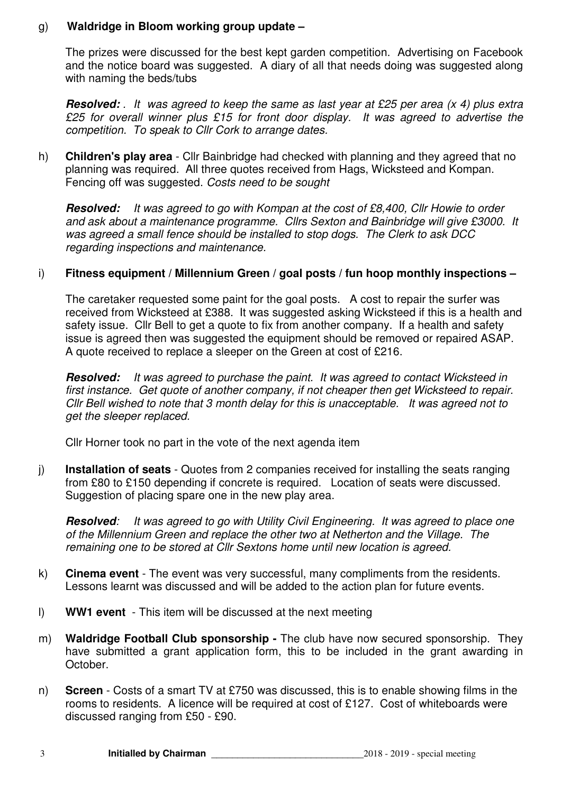### g) **Waldridge in Bloom working group update –**

The prizes were discussed for the best kept garden competition. Advertising on Facebook and the notice board was suggested. A diary of all that needs doing was suggested along with naming the beds/tubs

**Resolved:** . It was agreed to keep the same as last year at £25 per area (x 4) plus extra £25 for overall winner plus £15 for front door display. It was agreed to advertise the competition. To speak to Cllr Cork to arrange dates.

h) **Children's play area** - Cllr Bainbridge had checked with planning and they agreed that no planning was required. All three quotes received from Hags, Wicksteed and Kompan. Fencing off was suggested. Costs need to be sought

**Resolved:** It was agreed to go with Kompan at the cost of £8,400, Cllr Howie to order and ask about a maintenance programme. Cllrs Sexton and Bainbridge will give £3000. It was agreed a small fence should be installed to stop dogs. The Clerk to ask DCC regarding inspections and maintenance.

### i) **Fitness equipment / Millennium Green / goal posts / fun hoop monthly inspections –**

The caretaker requested some paint for the goal posts. A cost to repair the surfer was received from Wicksteed at £388. It was suggested asking Wicksteed if this is a health and safety issue. Cllr Bell to get a quote to fix from another company. If a health and safety issue is agreed then was suggested the equipment should be removed or repaired ASAP. A quote received to replace a sleeper on the Green at cost of £216.

**Resolved:** It was agreed to purchase the paint. It was agreed to contact Wicksteed in first instance. Get quote of another company, if not cheaper then get Wicksteed to repair. Cllr Bell wished to note that 3 month delay for this is unacceptable. It was agreed not to get the sleeper replaced.

Cllr Horner took no part in the vote of the next agenda item

j) **Installation of seats** - Quotes from 2 companies received for installing the seats ranging from £80 to £150 depending if concrete is required. Location of seats were discussed. Suggestion of placing spare one in the new play area.

**Resolved**: It was agreed to go with Utility Civil Engineering. It was agreed to place one of the Millennium Green and replace the other two at Netherton and the Village. The remaining one to be stored at Cllr Sextons home until new location is agreed.

- k) **Cinema event**  The event was very successful, many compliments from the residents. Lessons learnt was discussed and will be added to the action plan for future events.
- l) **WW1 event**  This item will be discussed at the next meeting
- m) **Waldridge Football Club sponsorship** The club have now secured sponsorship. They have submitted a grant application form, this to be included in the grant awarding in October.
- n) **Screen**  Costs of a smart TV at £750 was discussed, this is to enable showing films in the rooms to residents. A licence will be required at cost of £127. Cost of whiteboards were discussed ranging from £50 - £90.